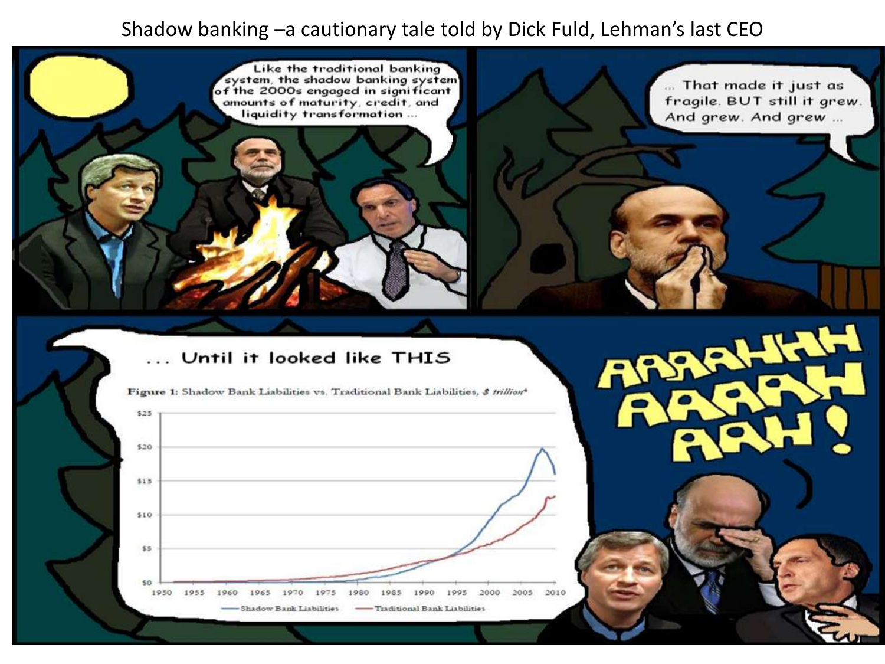#### Shadow banking –a cautionary tale told by Dick Fuld, Lehman's last CEO

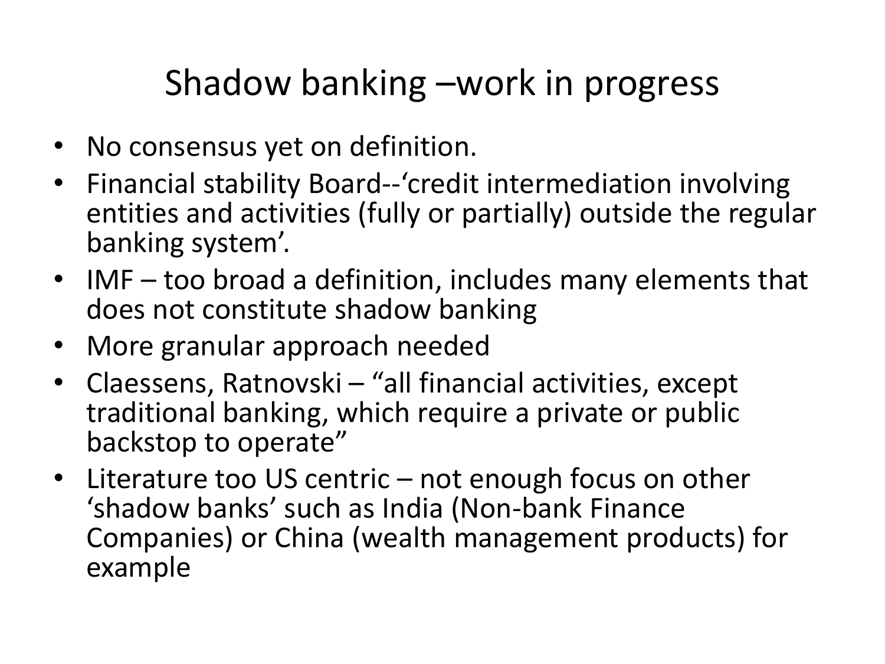#### Shadow banking –work in progress

- No consensus yet on definition.
- Financial stability Board--'credit intermediation involving entities and activities (fully or partially) outside the regular banking system'.
- IMF too broad a definition, includes many elements that does not constitute shadow banking
- More granular approach needed
- Claessens, Ratnovski "all financial activities, except traditional banking, which require a private or public backstop to operate"
- Literature too US centric not enough focus on other 'shadow banks' such as India (Non-bank Finance Companies) or China (wealth management products) for example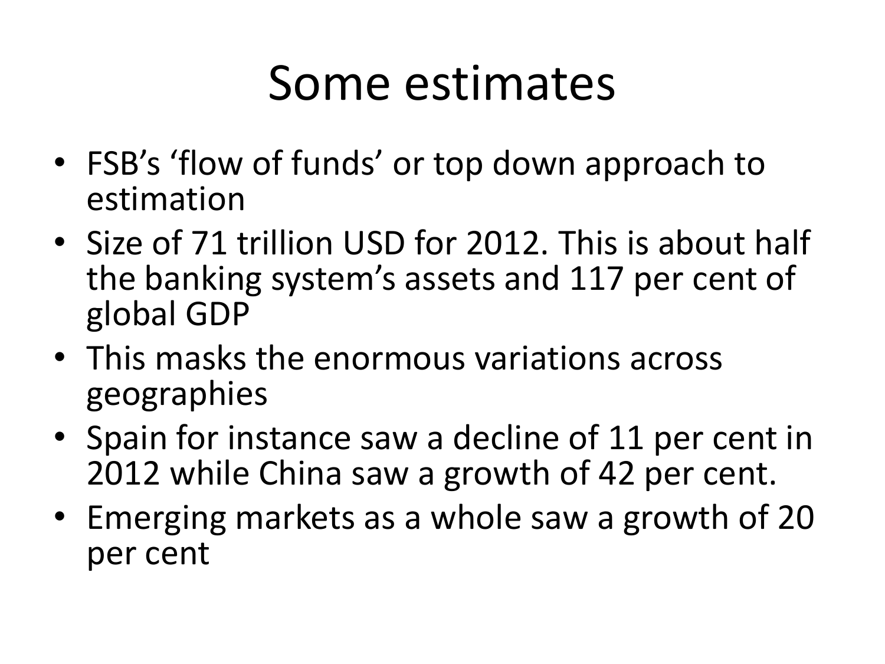## Some estimates

- FSB's 'flow of funds' or top down approach to estimation
- Size of 71 trillion USD for 2012. This is about half the banking system's assets and 117 per cent of global GDP
- This masks the enormous variations across geographies
- Spain for instance saw a decline of 11 per cent in 2012 while China saw a growth of 42 per cent.
- Emerging markets as a whole saw a growth of 20 per cent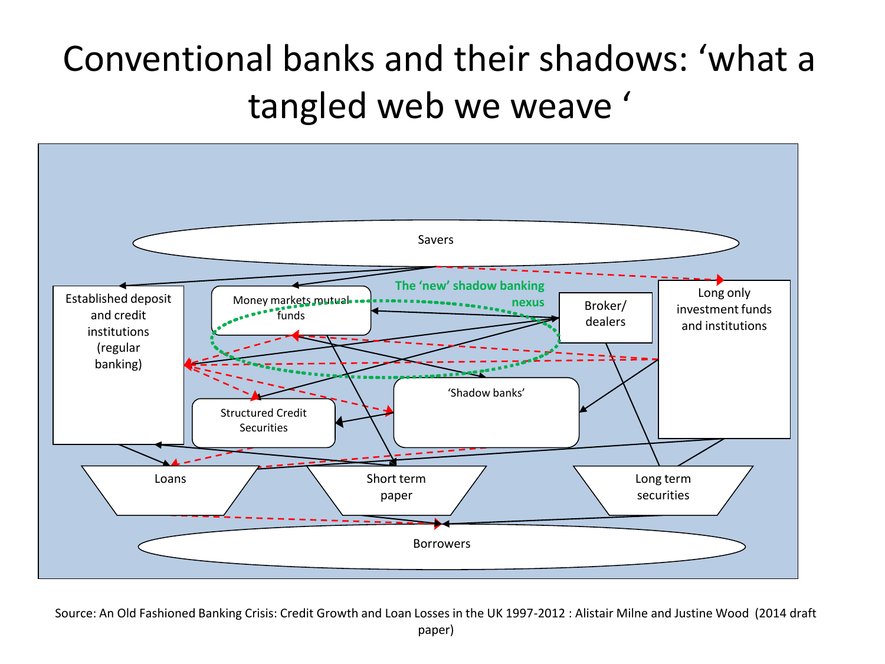### Conventional banks and their shadows: 'what a tangled web we weave '



Source: An Old Fashioned Banking Crisis: Credit Growth and Loan Losses in the UK 1997-2012 : Alistair Milne and Justine Wood (2014 draft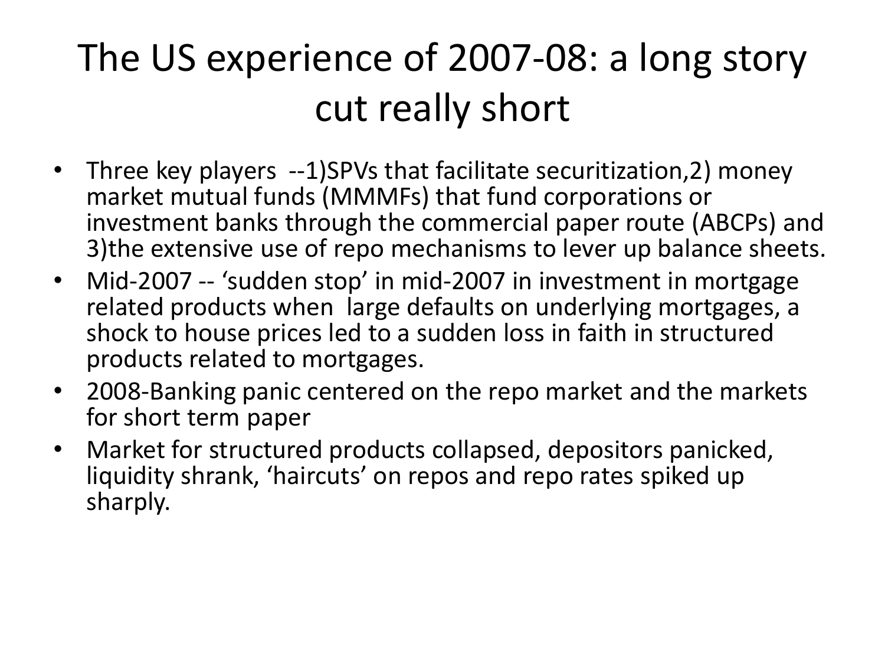### The US experience of 2007-08: a long story cut really short

- Three key players --1)SPVs that facilitate securitization, 2) money market mutual funds (MMMFs) that fund corporations or investment banks through the commercial paper route (ABCPs) and 3)the extensive use of repo mechanisms to lever up balance sheets.
- Mid-2007 -- 'sudden stop' in mid-2007 in investment in mortgage related products when large defaults on underlying mortgages, a shock to house prices led to a sudden loss in faith in structured products related to mortgages.
- 2008-Banking panic centered on the repo market and the markets for short term paper
- Market for structured products collapsed, depositors panicked, liquidity shrank, 'haircuts' on repos and repo rates spiked up sharply.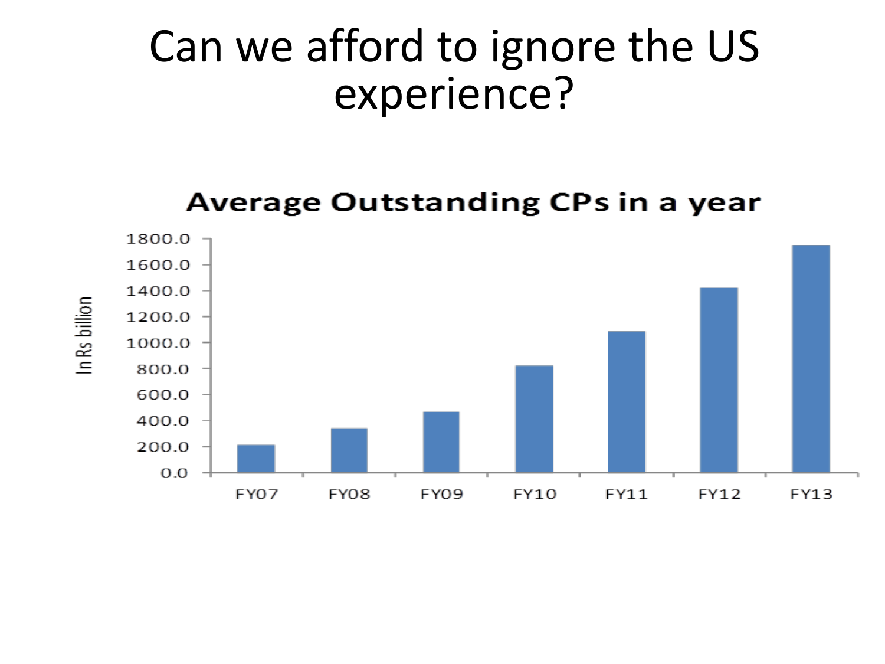### Can we afford to ignore the US experience?

**Average Outstanding CPs in a year** 

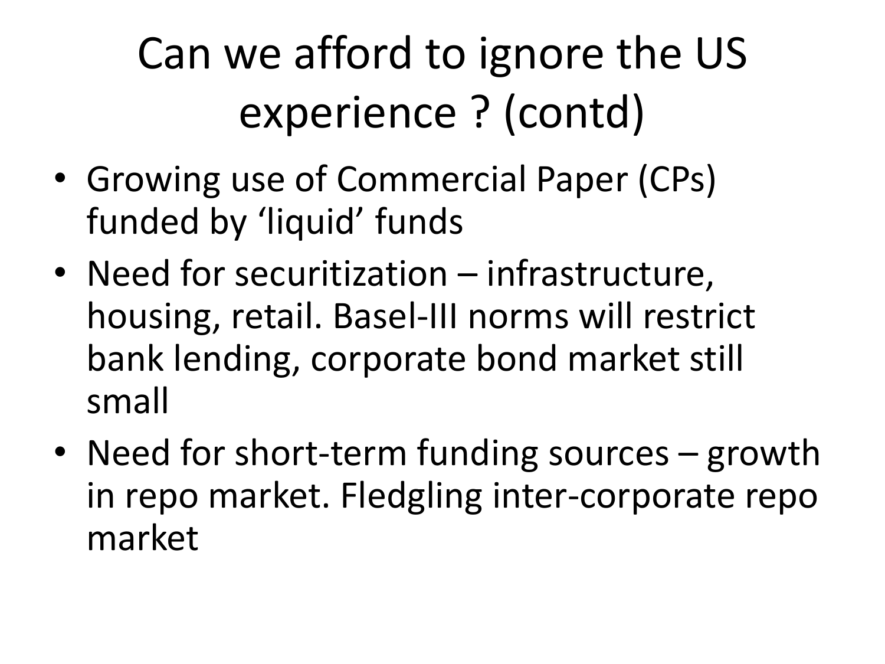Can we afford to ignore the US experience ? (contd)

- Growing use of Commercial Paper (CPs) funded by 'liquid' funds
- Need for securitization infrastructure, housing, retail. Basel-III norms will restrict bank lending, corporate bond market still small
- Need for short-term funding sources growth in repo market. Fledgling inter-corporate repo market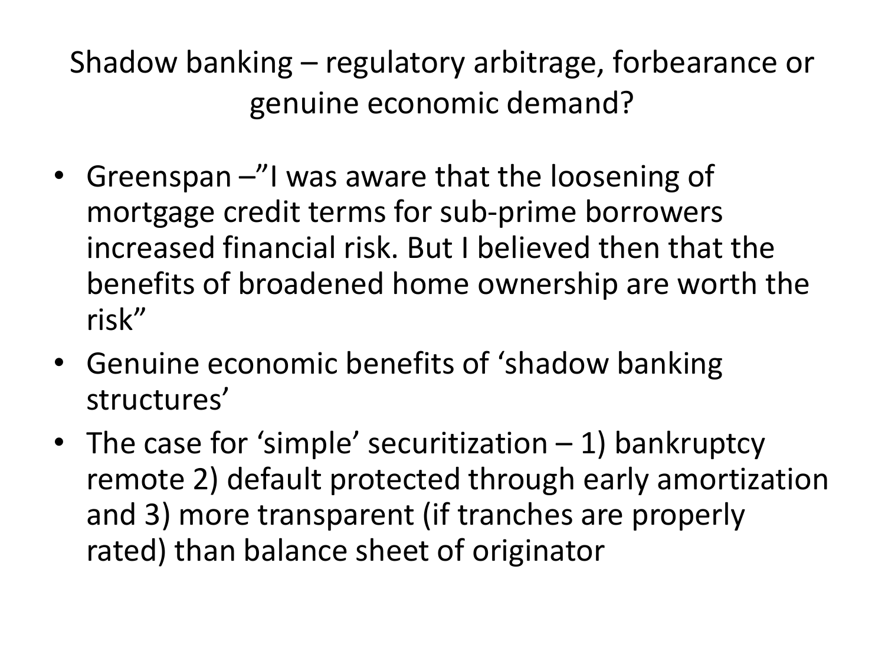Shadow banking – regulatory arbitrage, forbearance or genuine economic demand?

- Greenspan -"I was aware that the loosening of mortgage credit terms for sub-prime borrowers increased financial risk. But I believed then that the benefits of broadened home ownership are worth the risk"
- Genuine economic benefits of 'shadow banking structures'
- The case for 'simple' securitization 1) bankruptcy remote 2) default protected through early amortization and 3) more transparent (if tranches are properly rated) than balance sheet of originator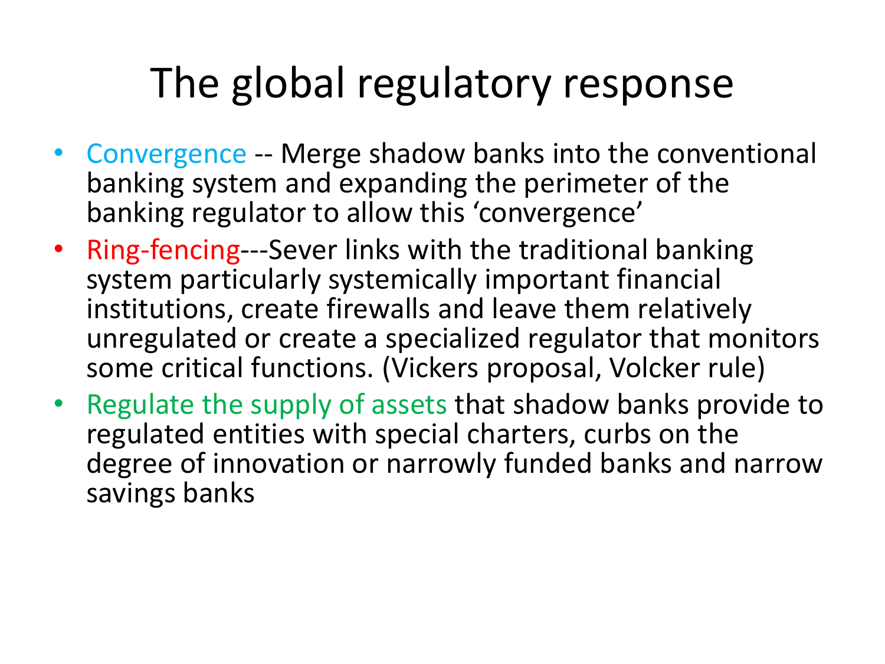### The global regulatory response

- Convergence -- Merge shadow banks into the conventional banking system and expanding the perimeter of the banking regulator to allow this 'convergence'
- Ring-fencing---Sever links with the traditional banking system particularly systemically important financial institutions, create firewalls and leave them relatively unregulated or create a specialized regulator that monitors some critical functions. (Vickers proposal, Volcker rule)
- Regulate the supply of assets that shadow banks provide to regulated entities with special charters, curbs on the degree of innovation or narrowly funded banks and narrow savings banks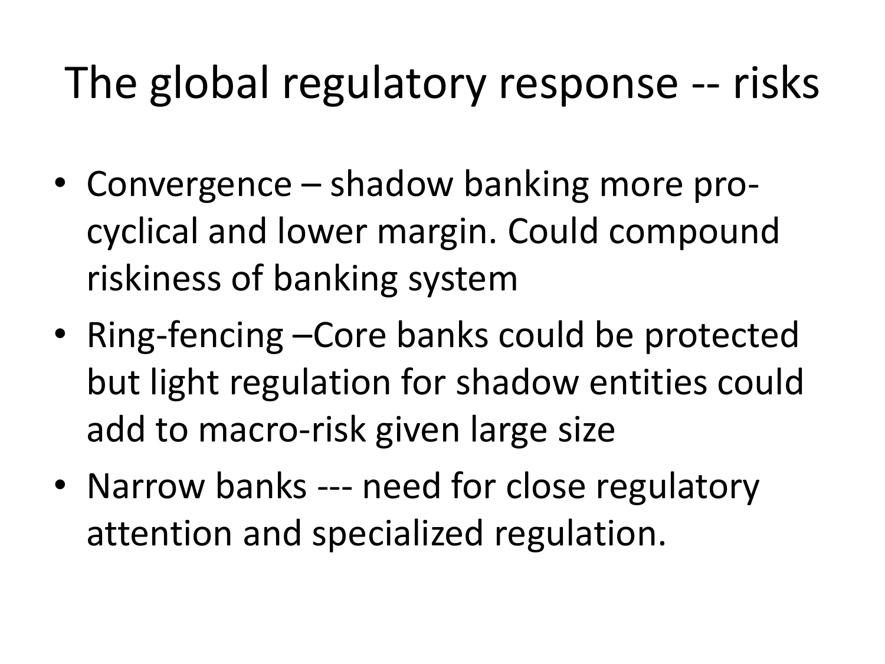### The global regulatory response -- risks

- Convergence shadow banking more procyclical and lower margin. Could compound riskiness of banking system
- Ring-fencing –Core banks could be protected but light regulation for shadow entities could add to macro-risk given large size
- Narrow banks --- need for close regulatory attention and specialized regulation.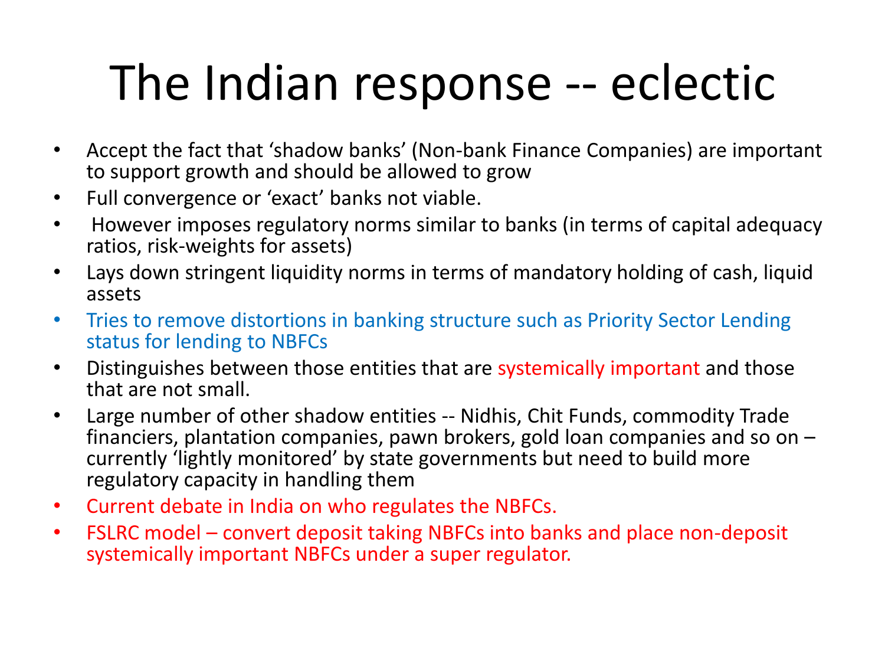# The Indian response -- eclectic

- Accept the fact that 'shadow banks' (Non-bank Finance Companies) are important to support growth and should be allowed to grow
- Full convergence or 'exact' banks not viable.
- However imposes regulatory norms similar to banks (in terms of capital adequacy ratios, risk-weights for assets)
- Lays down stringent liquidity norms in terms of mandatory holding of cash, liquid assets
- Tries to remove distortions in banking structure such as Priority Sector Lending status for lending to NBFCs
- Distinguishes between those entities that are systemically important and those that are not small.
- Large number of other shadow entities -- Nidhis, Chit Funds, commodity Trade financiers, plantation companies, pawn brokers, gold loan companies and so on – currently 'lightly monitored' by state governments but need to build more regulatory capacity in handling them
- Current debate in India on who regulates the NBFCs.
- FSLRC model convert deposit taking NBFCs into banks and place non-deposit systemically important NBFCs under a super regulator.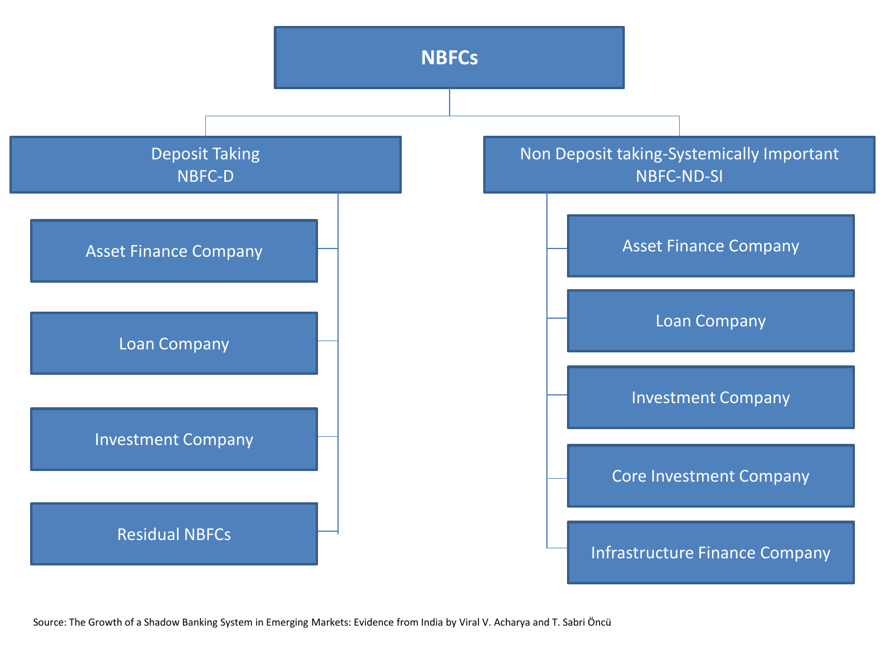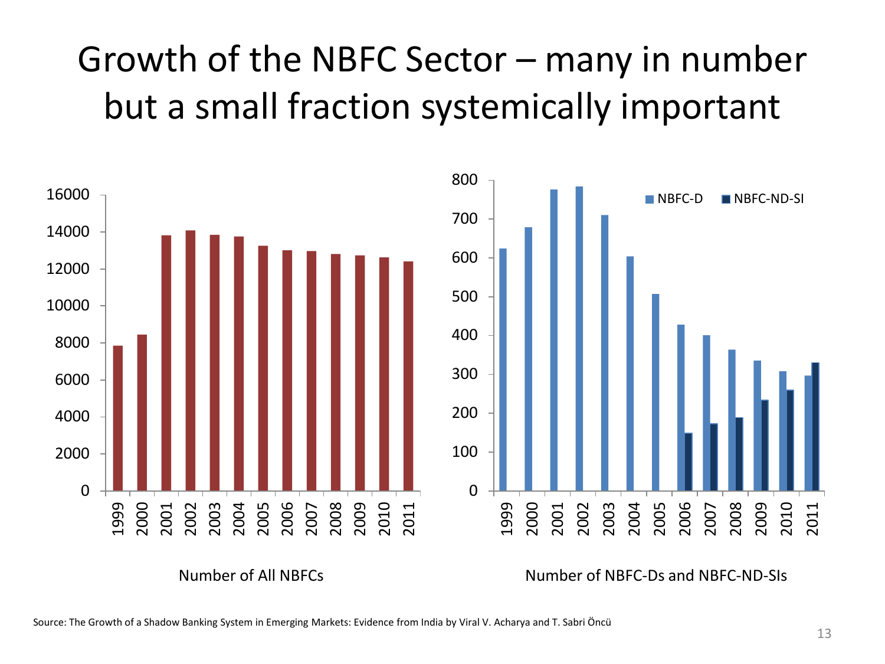### Growth of the NBFC Sector – many in number but a small fraction systemically important



Number of All NBFCs Number of NBFC-Ds and NBFC-ND-SIs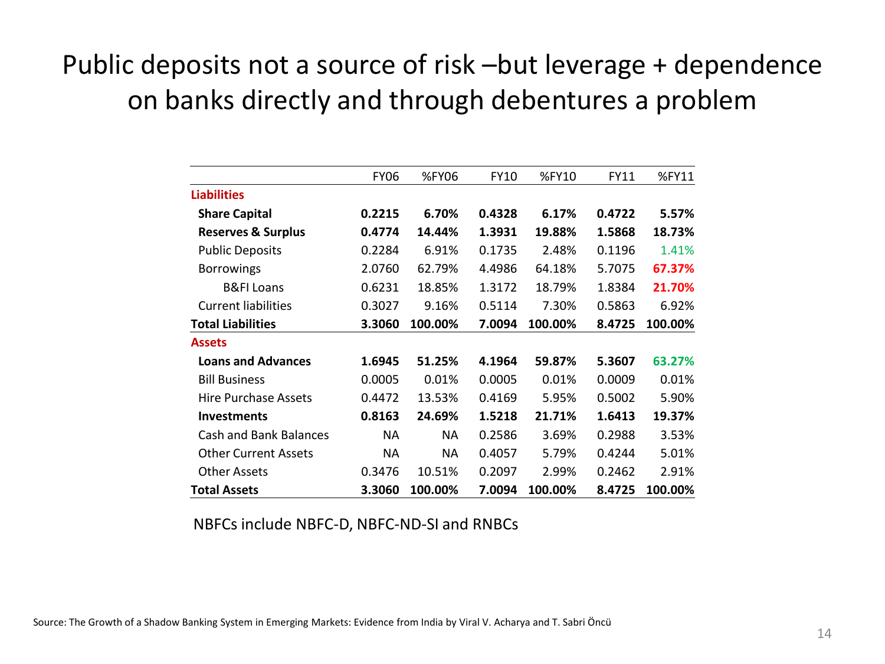#### Public deposits not a source of risk –but leverage + dependence on banks directly and through debentures a problem

|                               | <b>FY06</b> | %FY06     | <b>FY10</b> | %FY10   | FY11   | %FY11   |
|-------------------------------|-------------|-----------|-------------|---------|--------|---------|
| <b>Liabilities</b>            |             |           |             |         |        |         |
| <b>Share Capital</b>          | 0.2215      | 6.70%     | 0.4328      | 6.17%   | 0.4722 | 5.57%   |
| <b>Reserves &amp; Surplus</b> | 0.4774      | 14.44%    | 1.3931      | 19.88%  | 1.5868 | 18.73%  |
| <b>Public Deposits</b>        | 0.2284      | 6.91%     | 0.1735      | 2.48%   | 0.1196 | 1.41%   |
| <b>Borrowings</b>             | 2.0760      | 62.79%    | 4.4986      | 64.18%  | 5.7075 | 67.37%  |
| <b>B&amp;FI Loans</b>         | 0.6231      | 18.85%    | 1.3172      | 18.79%  | 1.8384 | 21.70%  |
| <b>Current liabilities</b>    | 0.3027      | 9.16%     | 0.5114      | 7.30%   | 0.5863 | 6.92%   |
| <b>Total Liabilities</b>      | 3.3060      | 100.00%   | 7.0094      | 100.00% | 8.4725 | 100.00% |
| <b>Assets</b>                 |             |           |             |         |        |         |
| <b>Loans and Advances</b>     | 1.6945      | 51.25%    | 4.1964      | 59.87%  | 5.3607 | 63.27%  |
| <b>Bill Business</b>          | 0.0005      | 0.01%     | 0.0005      | 0.01%   | 0.0009 | 0.01%   |
| <b>Hire Purchase Assets</b>   | 0.4472      | 13.53%    | 0.4169      | 5.95%   | 0.5002 | 5.90%   |
| <b>Investments</b>            | 0.8163      | 24.69%    | 1.5218      | 21.71%  | 1.6413 | 19.37%  |
| Cash and Bank Balances        | <b>NA</b>   | <b>NA</b> | 0.2586      | 3.69%   | 0.2988 | 3.53%   |
| <b>Other Current Assets</b>   | <b>NA</b>   | NA.       | 0.4057      | 5.79%   | 0.4244 | 5.01%   |
| <b>Other Assets</b>           | 0.3476      | 10.51%    | 0.2097      | 2.99%   | 0.2462 | 2.91%   |
| <b>Total Assets</b>           | 3.3060      | 100.00%   | 7.0094      | 100.00% | 8.4725 | 100.00% |

NBFCs include NBFC-D, NBFC-ND-SI and RNBCs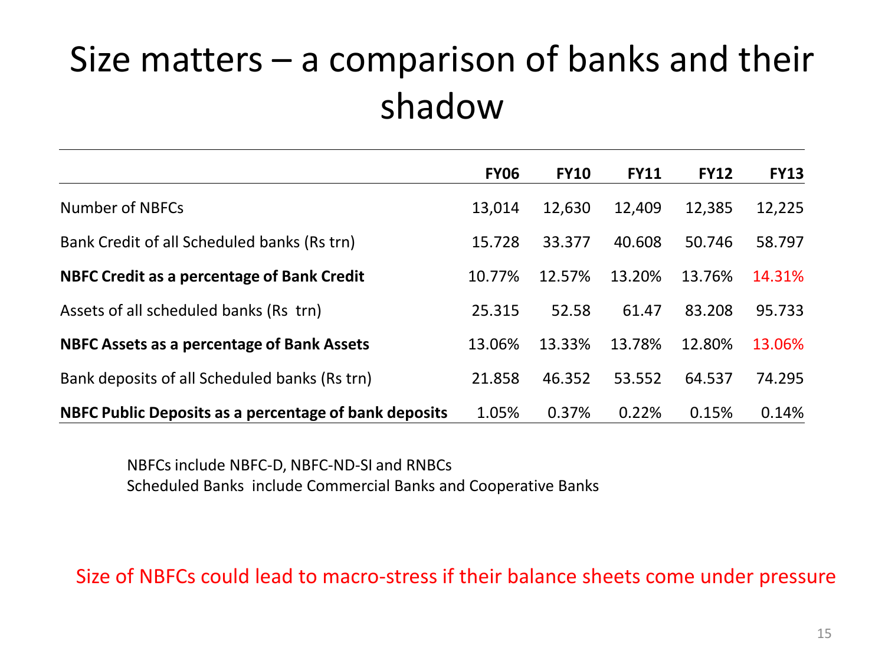#### Size matters – a comparison of banks and their shadow

|                                                       | <b>FY06</b> | <b>FY10</b> | <b>FY11</b> | <b>FY12</b> | <b>FY13</b> |
|-------------------------------------------------------|-------------|-------------|-------------|-------------|-------------|
| Number of NBFCs                                       | 13,014      | 12,630      | 12,409      | 12,385      | 12,225      |
| Bank Credit of all Scheduled banks (Rs trn)           | 15.728      | 33.377      | 40.608      | 50.746      | 58.797      |
| <b>NBFC Credit as a percentage of Bank Credit</b>     | 10.77%      | 12.57%      | 13.20%      | 13.76%      | 14.31%      |
| Assets of all scheduled banks (Rs trn)                | 25.315      | 52.58       | 61.47       | 83.208      | 95.733      |
| NBFC Assets as a percentage of Bank Assets            | 13.06%      | 13.33%      | 13.78%      | 12.80%      | 13.06%      |
| Bank deposits of all Scheduled banks (Rs trn)         | 21.858      | 46.352      | 53.552      | 64.537      | 74.295      |
| NBFC Public Deposits as a percentage of bank deposits | 1.05%       | 0.37%       | 0.22%       | 0.15%       | 0.14%       |

NBFCs include NBFC-D, NBFC-ND-SI and RNBCs Scheduled Banks include Commercial Banks and Cooperative Banks

Size of NBFCs could lead to macro-stress if their balance sheets come under pressure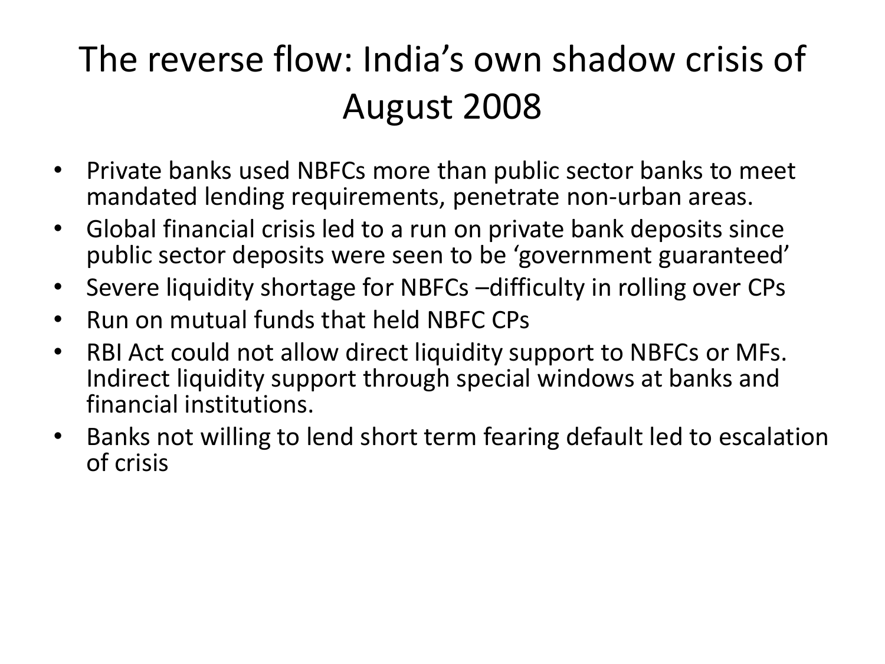### The reverse flow: India's own shadow crisis of August 2008

- Private banks used NBFCs more than public sector banks to meet mandated lending requirements, penetrate non-urban areas.
- Global financial crisis led to a run on private bank deposits since public sector deposits were seen to be 'government guaranteed'
- Severe liquidity shortage for NBFCs –difficulty in rolling over CPs
- Run on mutual funds that held NBFC CPs
- RBI Act could not allow direct liquidity support to NBFCs or MFs. Indirect liquidity support through special windows at banks and financial institutions.
- Banks not willing to lend short term fearing default led to escalation of crisis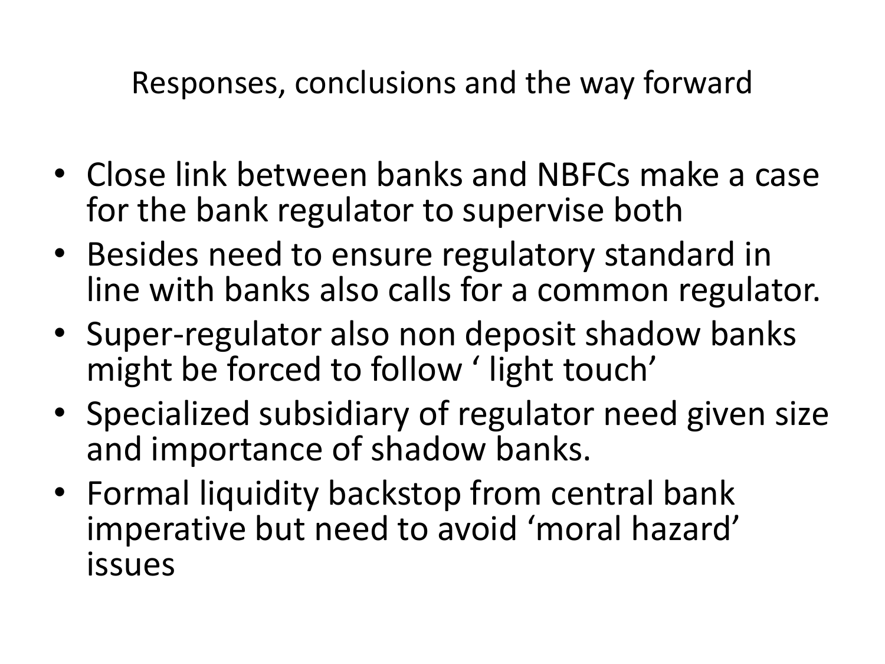Responses, conclusions and the way forward

- Close link between banks and NBFCs make a case for the bank regulator to supervise both
- Besides need to ensure regulatory standard in line with banks also calls for a common regulator.
- Super-regulator also non deposit shadow banks might be forced to follow ' light touch'
- Specialized subsidiary of regulator need given size and importance of shadow banks.
- Formal liquidity backstop from central bank imperative but need to avoid 'moral hazard' issues